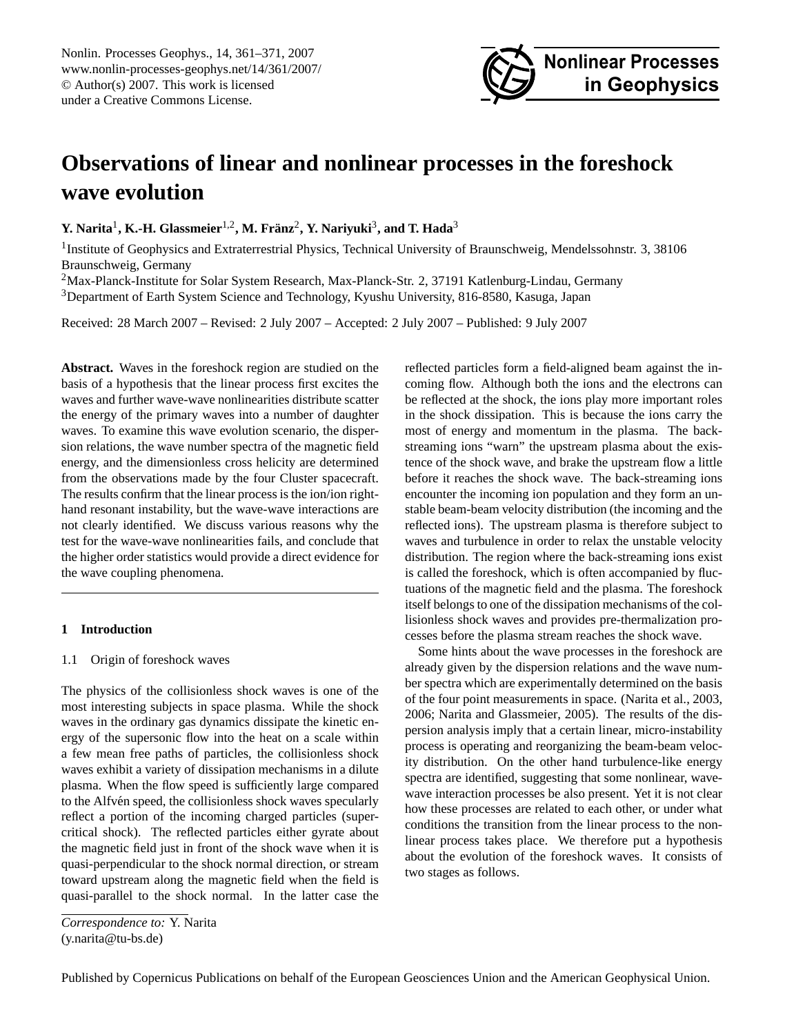

# <span id="page-0-0"></span>**Observations of linear and nonlinear processes in the foreshock wave evolution**

**Y.** Narita<sup>1</sup>, **K.-H.** Glassmeier<sup>1,2</sup>, M. Fränz<sup>2</sup>, Y. Nariyuki<sup>3</sup>, and T. Hada<sup>3</sup>

<sup>1</sup>Institute of Geophysics and Extraterrestrial Physics, Technical University of Braunschweig, Mendelssohnstr. 3, 38106 Braunschweig, Germany

<sup>2</sup>Max-Planck-Institute for Solar System Research, Max-Planck-Str. 2, 37191 Katlenburg-Lindau, Germany

<sup>3</sup>Department of Earth System Science and Technology, Kyushu University, 816-8580, Kasuga, Japan

Received: 28 March 2007 – Revised: 2 July 2007 – Accepted: 2 July 2007 – Published: 9 July 2007

**Abstract.** Waves in the foreshock region are studied on the basis of a hypothesis that the linear process first excites the waves and further wave-wave nonlinearities distribute scatter the energy of the primary waves into a number of daughter waves. To examine this wave evolution scenario, the dispersion relations, the wave number spectra of the magnetic field energy, and the dimensionless cross helicity are determined from the observations made by the four Cluster spacecraft. The results confirm that the linear process is the ion/ion righthand resonant instability, but the wave-wave interactions are not clearly identified. We discuss various reasons why the test for the wave-wave nonlinearities fails, and conclude that the higher order statistics would provide a direct evidence for the wave coupling phenomena.

# **1 Introduction**

## 1.1 Origin of foreshock waves

The physics of the collisionless shock waves is one of the most interesting subjects in space plasma. While the shock waves in the ordinary gas dynamics dissipate the kinetic energy of the supersonic flow into the heat on a scale within a few mean free paths of particles, the collisionless shock waves exhibit a variety of dissipation mechanisms in a dilute plasma. When the flow speed is sufficiently large compared to the Alfvén speed, the collisionless shock waves specularly reflect a portion of the incoming charged particles (supercritical shock). The reflected particles either gyrate about the magnetic field just in front of the shock wave when it is quasi-perpendicular to the shock normal direction, or stream toward upstream along the magnetic field when the field is quasi-parallel to the shock normal. In the latter case the reflected particles form a field-aligned beam against the incoming flow. Although both the ions and the electrons can be reflected at the shock, the ions play more important roles in the shock dissipation. This is because the ions carry the most of energy and momentum in the plasma. The backstreaming ions "warn" the upstream plasma about the existence of the shock wave, and brake the upstream flow a little before it reaches the shock wave. The back-streaming ions encounter the incoming ion population and they form an unstable beam-beam velocity distribution (the incoming and the reflected ions). The upstream plasma is therefore subject to waves and turbulence in order to relax the unstable velocity distribution. The region where the back-streaming ions exist is called the foreshock, which is often accompanied by fluctuations of the magnetic field and the plasma. The foreshock itself belongs to one of the dissipation mechanisms of the collisionless shock waves and provides pre-thermalization processes before the plasma stream reaches the shock wave.

Some hints about the wave processes in the foreshock are already given by the dispersion relations and the wave number spectra which are experimentally determined on the basis of the four point measurements in space. [\(Narita et al.,](#page-10-0) [2003,](#page-10-0) [2006;](#page-10-1) [Narita and Glassmeier,](#page-10-2) [2005\)](#page-10-2). The results of the dispersion analysis imply that a certain linear, micro-instability process is operating and reorganizing the beam-beam velocity distribution. On the other hand turbulence-like energy spectra are identified, suggesting that some nonlinear, wavewave interaction processes be also present. Yet it is not clear how these processes are related to each other, or under what conditions the transition from the linear process to the nonlinear process takes place. We therefore put a hypothesis about the evolution of the foreshock waves. It consists of two stages as follows.

*Correspondence to:* Y. Narita (y.narita@tu-bs.de)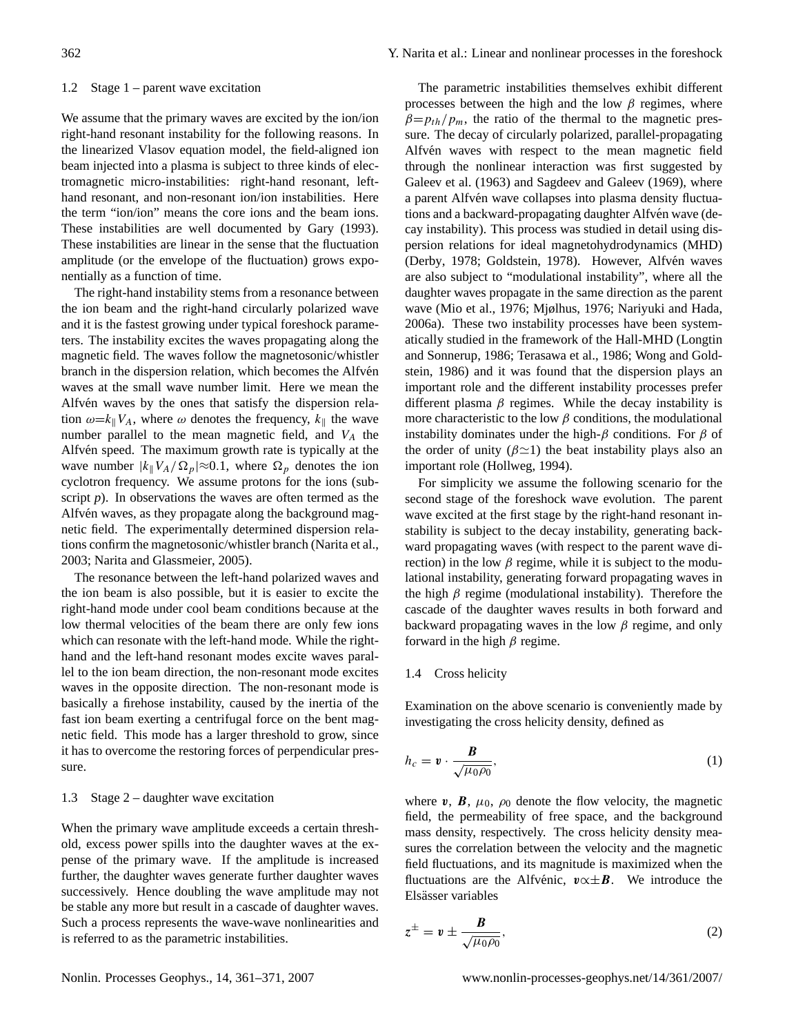#### 1.2 Stage 1 – parent wave excitation

We assume that the primary waves are excited by the ion/ion right-hand resonant instability for the following reasons. In the linearized Vlasov equation model, the field-aligned ion beam injected into a plasma is subject to three kinds of electromagnetic micro-instabilities: right-hand resonant, lefthand resonant, and non-resonant ion/ion instabilities. Here the term "ion/ion" means the core ions and the beam ions. These instabilities are well documented by [Gary](#page-10-3) [\(1993\)](#page-10-3). These instabilities are linear in the sense that the fluctuation amplitude (or the envelope of the fluctuation) grows exponentially as a function of time.

The right-hand instability stems from a resonance between the ion beam and the right-hand circularly polarized wave and it is the fastest growing under typical foreshock parameters. The instability excites the waves propagating along the magnetic field. The waves follow the magnetosonic/whistler branch in the dispersion relation, which becomes the Alfvén waves at the small wave number limit. Here we mean the Alfvén waves by the ones that satisfy the dispersion relation  $\omega = k_{\parallel} V_A$ , where  $\omega$  denotes the frequency,  $k_{\parallel}$  the wave number parallel to the mean magnetic field, and  $V_A$  the Alfvén speed. The maximum growth rate is typically at the wave number  $|k_{\parallel}V_A/\Omega_p|\approx 0.1$ , where  $\Omega_p$  denotes the ion cyclotron frequency. We assume protons for the ions (subscript *p*). In observations the waves are often termed as the Alfvén waves, as they propagate along the background magnetic field. The experimentally determined dispersion relations confirm the magnetosonic/whistler branch [\(Narita et al.,](#page-10-0) [2003;](#page-10-0) [Narita and Glassmeier,](#page-10-2) [2005\)](#page-10-2).

The resonance between the left-hand polarized waves and the ion beam is also possible, but it is easier to excite the right-hand mode under cool beam conditions because at the low thermal velocities of the beam there are only few ions which can resonate with the left-hand mode. While the righthand and the left-hand resonant modes excite waves parallel to the ion beam direction, the non-resonant mode excites waves in the opposite direction. The non-resonant mode is basically a firehose instability, caused by the inertia of the fast ion beam exerting a centrifugal force on the bent magnetic field. This mode has a larger threshold to grow, since it has to overcome the restoring forces of perpendicular pressure.

## 1.3 Stage 2 – daughter wave excitation

When the primary wave amplitude exceeds a certain threshold, excess power spills into the daughter waves at the expense of the primary wave. If the amplitude is increased further, the daughter waves generate further daughter waves successively. Hence doubling the wave amplitude may not be stable any more but result in a cascade of daughter waves. Such a process represents the wave-wave nonlinearities and is referred to as the parametric instabilities.

The parametric instabilities themselves exhibit different processes between the high and the low  $\beta$  regimes, where  $\beta = p_{th}/p_m$ , the ratio of the thermal to the magnetic pressure. The decay of circularly polarized, parallel-propagating Alfvén waves with respect to the mean magnetic field through the nonlinear interaction was first suggested by [Galeev et al.](#page-10-4) [\(1963\)](#page-10-4) and [Sagdeev and Galeev](#page-10-5) [\(1969\)](#page-10-5), where a parent Alfvén wave collapses into plasma density fluctuations and a backward-propagating daughter Alfvén wave (decay instability). This process was studied in detail using dispersion relations for ideal magnetohydrodynamics (MHD) [\(Derby,](#page-9-0) [1978;](#page-9-0) [Goldstein,](#page-10-6) [1978\)](#page-10-6). However, Alfvén waves are also subject to "modulational instability", where all the daughter waves propagate in the same direction as the parent wave [\(Mio et al.,](#page-10-7) [1976;](#page-10-7) [Mjølhus,](#page-10-8) [1976;](#page-10-8) [Nariyuki and Hada,](#page-10-9) [2006a\)](#page-10-9). These two instability processes have been systematically studied in the framework of the Hall-MHD [\(Longtin](#page-10-10) [and Sonnerup,](#page-10-10) [1986;](#page-10-10) [Terasawa et al.,](#page-10-11) [1986;](#page-10-11) [Wong and Gold](#page-10-12)[stein,](#page-10-12) [1986\)](#page-10-12) and it was found that the dispersion plays an important role and the different instability processes prefer different plasma  $\beta$  regimes. While the decay instability is more characteristic to the low  $\beta$  conditions, the modulational instability dominates under the high- $\beta$  conditions. For  $\beta$  of the order of unity ( $\beta \approx 1$ ) the beat instability plays also an important role [\(Hollweg,](#page-10-13) [1994\)](#page-10-13).

For simplicity we assume the following scenario for the second stage of the foreshock wave evolution. The parent wave excited at the first stage by the right-hand resonant instability is subject to the decay instability, generating backward propagating waves (with respect to the parent wave direction) in the low  $\beta$  regime, while it is subject to the modulational instability, generating forward propagating waves in the high  $\beta$  regime (modulational instability). Therefore the cascade of the daughter waves results in both forward and backward propagating waves in the low  $\beta$  regime, and only forward in the high  $\beta$  regime.

#### 1.4 Cross helicity

Examination on the above scenario is conveniently made by investigating the cross helicity density, defined as

$$
h_c = \mathbf{v} \cdot \frac{\mathbf{B}}{\sqrt{\mu_0 \rho_0}},\tag{1}
$$

where v,  $\mathbf{B}$ ,  $\mu_0$ ,  $\rho_0$  denote the flow velocity, the magnetic field, the permeability of free space, and the background mass density, respectively. The cross helicity density measures the correlation between the velocity and the magnetic field fluctuations, and its magnitude is maximized when the fluctuations are the Alfvénic,  $\mathbf{v} \propto \pm \mathbf{B}$ . We introduce the Elsässer variables

$$
z^{\pm} = v \pm \frac{B}{\sqrt{\mu_0 \rho_0}},\tag{2}
$$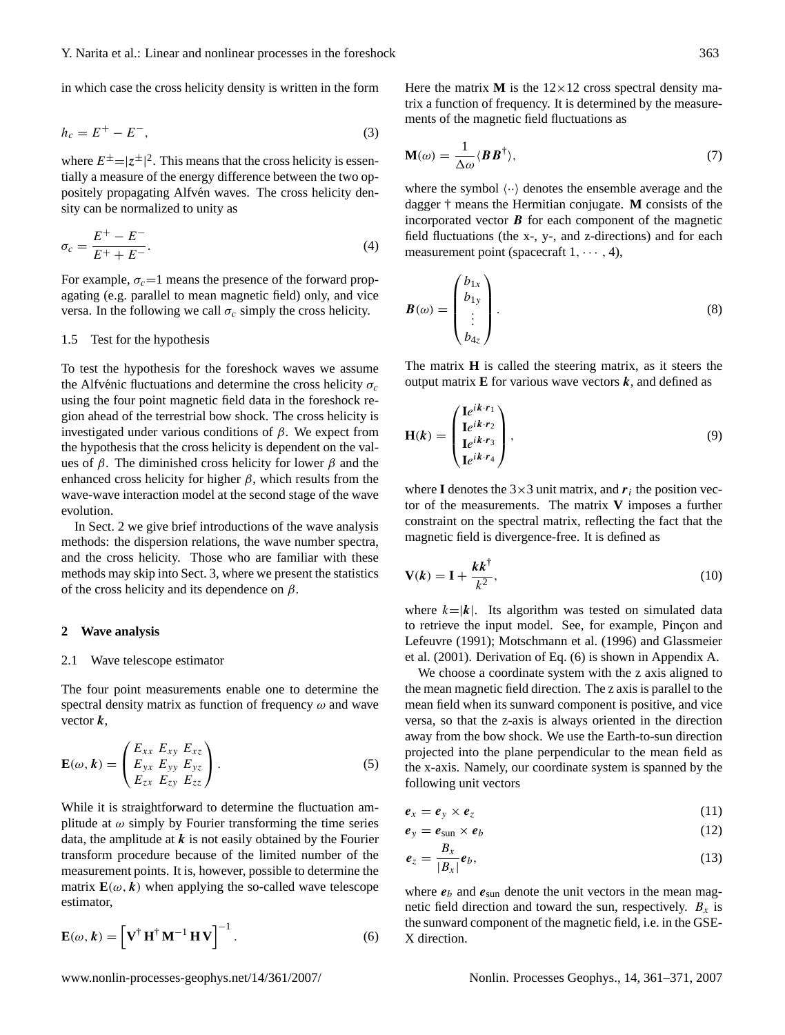in which case the cross helicity density is written in the form

$$
h_c = E^+ - E^-, \tag{3}
$$

where  $E^{\pm} = |z^{\pm}|^2$ . This means that the cross helicity is essentially a measure of the energy difference between the two oppositely propagating Alfvén waves. The cross helicity density can be normalized to unity as

$$
\sigma_c = \frac{E^+ - E^-}{E^+ + E^-}.
$$
\n(4)

For example,  $\sigma_c=1$  means the presence of the forward propagating (e.g. parallel to mean magnetic field) only, and vice versa. In the following we call  $\sigma_c$  simply the cross helicity.

#### 1.5 Test for the hypothesis

To test the hypothesis for the foreshock waves we assume the Alfvénic fluctuations and determine the cross helicity  $\sigma_c$ using the four point magnetic field data in the foreshock region ahead of the terrestrial bow shock. The cross helicity is investigated under various conditions of β. We expect from the hypothesis that the cross helicity is dependent on the values of  $\beta$ . The diminished cross helicity for lower  $\beta$  and the enhanced cross helicity for higher  $\beta$ , which results from the wave-wave interaction model at the second stage of the wave evolution.

In Sect. 2 we give brief introductions of the wave analysis methods: the dispersion relations, the wave number spectra, and the cross helicity. Those who are familiar with these methods may skip into Sect. 3, where we present the statistics of the cross helicity and its dependence on  $\beta$ .

#### **2 Wave analysis**

#### 2.1 Wave telescope estimator

The four point measurements enable one to determine the spectral density matrix as function of frequency  $\omega$  and wave vector  $k$ ,

$$
\mathbf{E}(\omega,\mathbf{k}) = \begin{pmatrix} E_{xx} & E_{xy} & E_{xz} \\ E_{yx} & E_{yy} & E_{yz} \\ E_{zx} & E_{zy} & E_{zz} \end{pmatrix} . \tag{5}
$$

While it is straightforward to determine the fluctuation amplitude at  $\omega$  simply by Fourier transforming the time series data, the amplitude at  $k$  is not easily obtained by the Fourier transform procedure because of the limited number of the measurement points. It is, however, possible to determine the matrix  $\mathbf{E}(\omega, k)$  when applying the so-called wave telescope estimator,

<span id="page-2-0"></span>
$$
\mathbf{E}(\omega, k) = \left[ \mathbf{V}^{\dagger} \mathbf{H}^{\dagger} \mathbf{M}^{-1} \mathbf{H} \mathbf{V} \right]^{-1}.
$$
 (6)

Here the matrix **M** is the  $12 \times 12$  cross spectral density matrix a function of frequency. It is determined by the measurements of the magnetic field fluctuations as

$$
\mathbf{M}(\omega) = \frac{1}{\Delta \omega} \langle \boldsymbol{B} \boldsymbol{B}^{\dagger} \rangle, \tag{7}
$$

where the symbol  $\langle \cdot \cdot \rangle$  denotes the ensemble average and the dagger † means the Hermitian conjugate. **M** consists of the incorporated vector  $\bf{B}$  for each component of the magnetic field fluctuations (the x-, y-, and z-directions) and for each measurement point (spacecraft  $1, \dots, 4$ ),

$$
\boldsymbol{B}(\omega) = \begin{pmatrix} b_{1x} \\ b_{1y} \\ \vdots \\ b_{4z} \end{pmatrix} . \tag{8}
$$

<span id="page-2-1"></span>The matrix **H** is called the steering matrix, as it steers the output matrix  $E$  for various wave vectors  $k$ , and defined as

$$
\mathbf{H}(k) = \begin{pmatrix} \mathbf{I}e^{ik \cdot r_1} \\ \mathbf{I}e^{ik \cdot r_2} \\ \mathbf{I}e^{ik \cdot r_3} \\ \mathbf{I}e^{ik \cdot r_4} \end{pmatrix},
$$
(9)

where **I** denotes the  $3 \times 3$  unit matrix, and  $r_i$  the position vector of the measurements. The matrix **V** imposes a further constraint on the spectral matrix, reflecting the fact that the magnetic field is divergence-free. It is defined as

<span id="page-2-2"></span>
$$
\mathbf{V}(k) = \mathbf{I} + \frac{k k^{\dagger}}{k^2},\tag{10}
$$

where  $k=|k|$ . Its algorithm was tested on simulated data to retrieve the input model. See, for example, Pinçon and [Lefeuvre](#page-10-14) [\(1991\)](#page-10-14); [Motschmann et al.](#page-10-15) [\(1996\)](#page-10-15) and [Glassmeier](#page-10-16) [et al.](#page-10-16) [\(2001\)](#page-10-16). Derivation of Eq. [\(6\)](#page-2-0) is shown in Appendix A.

We choose a coordinate system with the z axis aligned to the mean magnetic field direction. The z axis is parallel to the mean field when its sunward component is positive, and vice versa, so that the z-axis is always oriented in the direction away from the bow shock. We use the Earth-to-sun direction projected into the plane perpendicular to the mean field as the x-axis. Namely, our coordinate system is spanned by the following unit vectors

$$
e_x = e_y \times e_z \tag{11}
$$

$$
e_y = e_{\text{sun}} \times e_b \tag{12}
$$

$$
\boldsymbol{e}_z = \frac{\boldsymbol{B}_x}{|\boldsymbol{B}_x|} \boldsymbol{e}_b,\tag{13}
$$

where  $e_b$  and  $e_{\text{sun}}$  denote the unit vectors in the mean magnetic field direction and toward the sun, respectively.  $B_x$  is the sunward component of the magnetic field, i.e. in the GSE-X direction.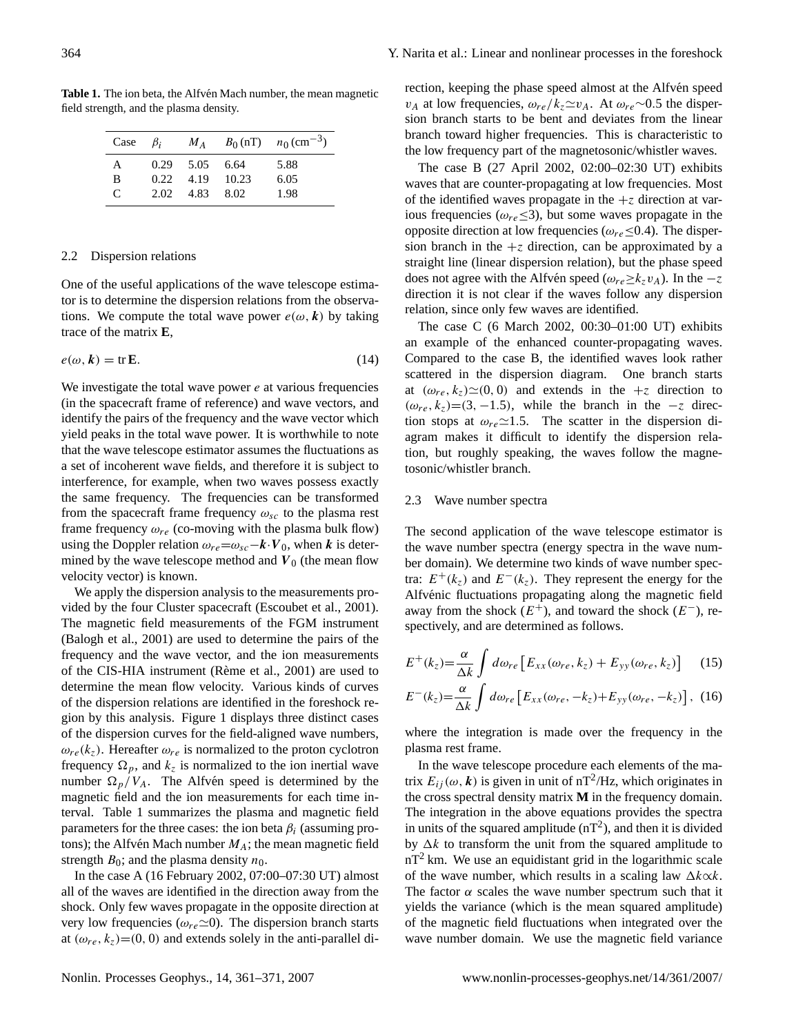Table 1. The ion beta, the Alfvén Mach number, the mean magnetic field strength, and the plasma density.

| Case | $\beta_i$ | $M_A$            |       | $B_0(nT)$ $n_0$ (cm <sup>-3</sup> ) |
|------|-----------|------------------|-------|-------------------------------------|
| A    |           | $0.29$ 5.05 6.64 |       | 5.88                                |
| B    | 0.22.     | 4.19             | 10.23 | 6.05                                |
| C    | 2.02      | 4.83             | 8.02  | 1.98                                |

## 2.2 Dispersion relations

One of the useful applications of the wave telescope estimator is to determine the dispersion relations from the observations. We compute the total wave power  $e(\omega, k)$  by taking trace of the matrix **E**,

$$
e(\omega, k) = \text{tr}\,\mathbf{E}.\tag{14}
$$

We investigate the total wave power  $e$  at various frequencies (in the spacecraft frame of reference) and wave vectors, and identify the pairs of the frequency and the wave vector which yield peaks in the total wave power. It is worthwhile to note that the wave telescope estimator assumes the fluctuations as a set of incoherent wave fields, and therefore it is subject to interference, for example, when two waves possess exactly the same frequency. The frequencies can be transformed from the spacecraft frame frequency  $\omega_{sc}$  to the plasma rest frame frequency  $\omega_{re}$  (co-moving with the plasma bulk flow) using the Doppler relation  $\omega_{re} = \omega_{sc} - k \cdot V_0$ , when k is determined by the wave telescope method and  $V_0$  (the mean flow velocity vector) is known.

We apply the dispersion analysis to the measurements provided by the four Cluster spacecraft [\(Escoubet et al.,](#page-9-1) [2001\)](#page-9-1). The magnetic field measurements of the FGM instrument [\(Balogh et al.,](#page-9-2) [2001\)](#page-9-2) are used to determine the pairs of the frequency and the wave vector, and the ion measurements of the CIS-HIA instrument (Rème et al., [2001\)](#page-10-17) are used to determine the mean flow velocity. Various kinds of curves of the dispersion relations are identified in the foreshock region by this analysis. Figure 1 displays three distinct cases of the dispersion curves for the field-aligned wave numbers,  $\omega_{re}(k_z)$ . Hereafter  $\omega_{re}$  is normalized to the proton cyclotron frequency  $\Omega_p$ , and  $k_z$  is normalized to the ion inertial wave number  $\Omega_p/V_A$ . The Alfvén speed is determined by the magnetic field and the ion measurements for each time interval. Table 1 summarizes the plasma and magnetic field parameters for the three cases: the ion beta  $\beta_i$  (assuming protons); the Alfvén Mach number  $M_A$ ; the mean magnetic field strength  $B_0$ ; and the plasma density  $n_0$ .

In the case A (16 February 2002, 07:00–07:30 UT) almost all of the waves are identified in the direction away from the shock. Only few waves propagate in the opposite direction at very low frequencies ( $\omega_{re} \simeq 0$ ). The dispersion branch starts at  $(\omega_{re}, k_z)$ =(0, 0) and extends solely in the anti-parallel direction, keeping the phase speed almost at the Alfvén speed  $v_A$  at low frequencies,  $ω_{re}/k_z\simeq v_A$ . At  $ω_{re} \sim 0.5$  the dispersion branch starts to be bent and deviates from the linear branch toward higher frequencies. This is characteristic to the low frequency part of the magnetosonic/whistler waves.

The case B (27 April 2002, 02:00–02:30 UT) exhibits waves that are counter-propagating at low frequencies. Most of the identified waves propagate in the  $+z$  direction at various frequencies ( $\omega_{re} \leq 3$ ), but some waves propagate in the opposite direction at low frequencies ( $\omega_{re} \leq 0.4$ ). The dispersion branch in the  $+z$  direction, can be approximated by a straight line (linear dispersion relation), but the phase speed does not agree with the Alfvén speed ( $\omega_{re} \ge k_z v_A$ ). In the  $-z$ direction it is not clear if the waves follow any dispersion relation, since only few waves are identified.

The case C (6 March 2002, 00:30–01:00 UT) exhibits an example of the enhanced counter-propagating waves. Compared to the case B, the identified waves look rather scattered in the dispersion diagram. One branch starts at  $(\omega_{re}, k_z) \simeq (0, 0)$  and extends in the  $+z$  direction to  $(\omega_{re}, k_z) = (3, -1.5)$ , while the branch in the  $-z$  direction stops at  $\omega_{re} \approx 1.5$ . The scatter in the dispersion diagram makes it difficult to identify the dispersion relation, but roughly speaking, the waves follow the magnetosonic/whistler branch.

## 2.3 Wave number spectra

The second application of the wave telescope estimator is the wave number spectra (energy spectra in the wave number domain). We determine two kinds of wave number spectra:  $E^+(k_z)$  and  $E^-(k_z)$ . They represent the energy for the Alfvénic fluctuations propagating along the magnetic field away from the shock  $(E^+)$ , and toward the shock  $(E^-)$ , respectively, and are determined as follows.

$$
E^{+}(k_{z}) = \frac{\alpha}{\Delta k} \int d\omega_{re} \left[ E_{xx}(\omega_{re}, k_{z}) + E_{yy}(\omega_{re}, k_{z}) \right]
$$
 (15)  

$$
E^{-}(k_{z}) = \frac{\alpha}{\Delta k} \int d\omega_{re} \left[ E_{xx}(\omega_{re}, -k_{z}) + E_{yy}(\omega_{re}, -k_{z}) \right],
$$
 (16)

where the integration is made over the frequency in the plasma rest frame.

In the wave telescope procedure each elements of the matrix  $E_{ij}(\omega, \mathbf{k})$  is given in unit of nT<sup>2</sup>/Hz, which originates in the cross spectral density matrix **M** in the frequency domain. The integration in the above equations provides the spectra in units of the squared amplitude  $(nT^2)$ , and then it is divided by  $\Delta k$  to transform the unit from the squared amplitude to  $nT<sup>2</sup>$  km. We use an equidistant grid in the logarithmic scale of the wave number, which results in a scaling law  $\Delta k \propto k$ . The factor  $\alpha$  scales the wave number spectrum such that it yields the variance (which is the mean squared amplitude) of the magnetic field fluctuations when integrated over the wave number domain. We use the magnetic field variance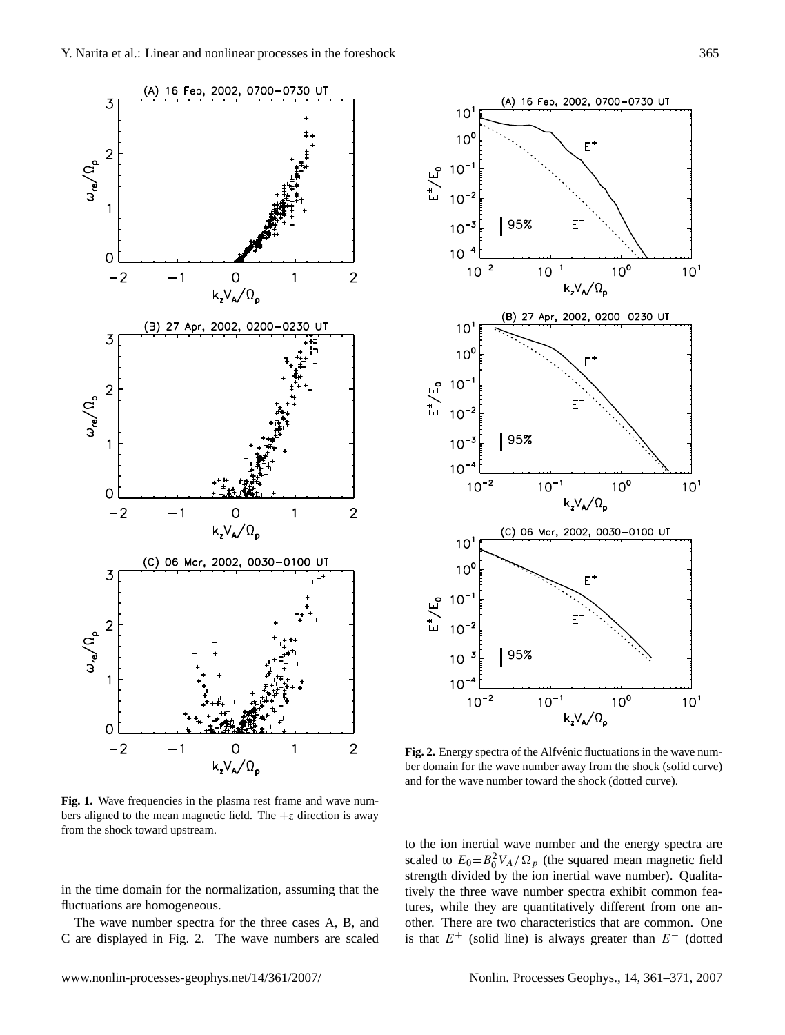

Fig. 1. Wave frequencies in the plasma rest frame and wave numbers aligned to the mean magnetic field. The  $+z$  direction is away from the shock toward upstream.

in the time domain for the normalization, assuming that the fluctuations are homogeneous.

The wave number spectra for the three cases A, B, and C are displayed in Fig. 2. The wave numbers are scaled



Fig. 2. Energy spectra of the Alfvénic fluctuations in the wave number domain for the wave number away from the shock (solid curve) and for the wave number toward the shock (dotted curve).

to the ion inertial wave number and the energy spectra are scaled to  $E_0 = B_0^2 V_A / \Omega_p$  (the squared mean magnetic field strength divided by the ion inertial wave number). Qualitatively the three wave number spectra exhibit common features, while they are quantitatively different from one another. There are two characteristics that are common. One is that  $E^+$  (solid line) is always greater than  $E^-$  (dotted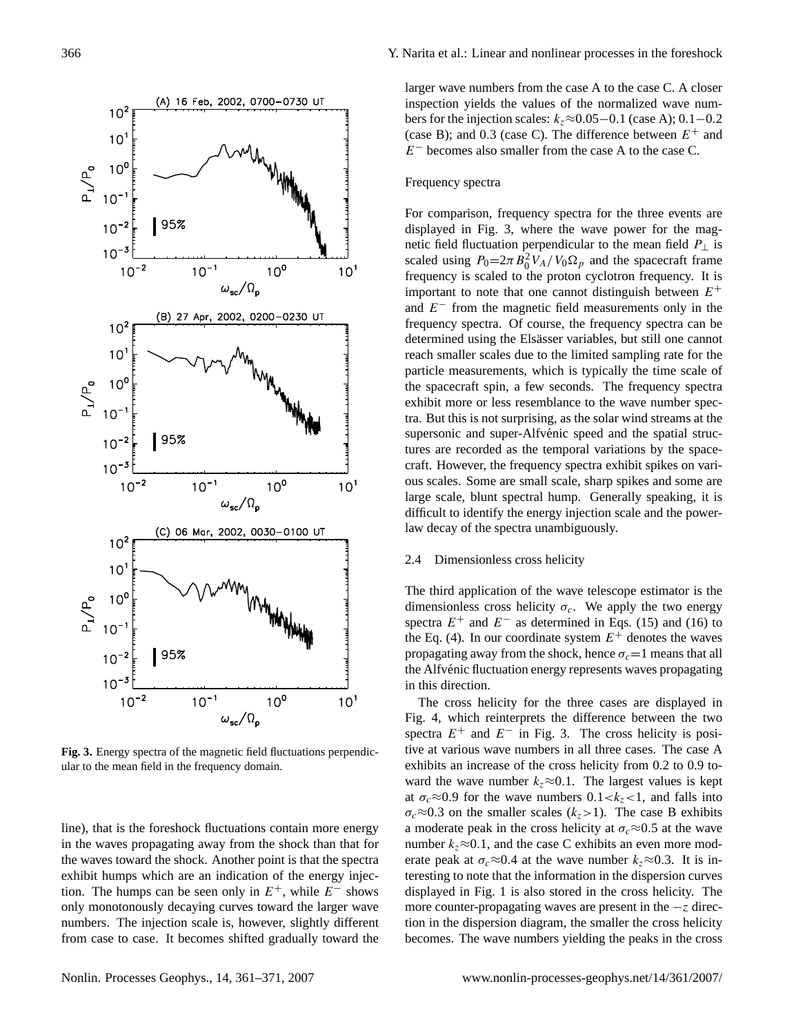

**Fig. 3.** Energy spectra of the magnetic field fluctuations perpendicular to the mean field in the frequency domain.

line), that is the foreshock fluctuations contain more energy in the waves propagating away from the shock than that for the waves toward the shock. Another point is that the spectra exhibit humps which are an indication of the energy injection. The humps can be seen only in  $E^+$ , while  $E^-$  shows only monotonously decaying curves toward the larger wave numbers. The injection scale is, however, slightly different from case to case. It becomes shifted gradually toward the larger wave numbers from the case A to the case C. A closer inspection yields the values of the normalized wave numbers for the injection scales:  $k_z \approx 0.05-0.1$  (case A); 0.1–0.2 (case B); and 0.3 (case C). The difference between  $E^+$  and  $E^-$  becomes also smaller from the case A to the case C.

## Frequency spectra

For comparison, frequency spectra for the three events are displayed in Fig. 3, where the wave power for the magnetic field fluctuation perpendicular to the mean field  $P_{\perp}$  is scaled using  $P_0 = 2\pi B_0^2 V_A / V_0 \Omega_p$  and the spacecraft frame frequency is scaled to the proton cyclotron frequency. It is important to note that one cannot distinguish between  $E^+$ and  $E^-$  from the magnetic field measurements only in the frequency spectra. Of course, the frequency spectra can be determined using the Elsässer variables, but still one cannot reach smaller scales due to the limited sampling rate for the particle measurements, which is typically the time scale of the spacecraft spin, a few seconds. The frequency spectra exhibit more or less resemblance to the wave number spectra. But this is not surprising, as the solar wind streams at the supersonic and super-Alfvénic speed and the spatial structures are recorded as the temporal variations by the spacecraft. However, the frequency spectra exhibit spikes on various scales. Some are small scale, sharp spikes and some are large scale, blunt spectral hump. Generally speaking, it is difficult to identify the energy injection scale and the powerlaw decay of the spectra unambiguously.

## 2.4 Dimensionless cross helicity

The third application of the wave telescope estimator is the dimensionless cross helicity  $\sigma_c$ . We apply the two energy spectra  $E^+$  and  $E^-$  as determined in Eqs. (15) and (16) to the Eq. (4). In our coordinate system  $E^+$  denotes the waves propagating away from the shock, hence  $\sigma_c=1$  means that all the Alfvénic fluctuation energy represents waves propagating in this direction.

The cross helicity for the three cases are displayed in Fig. 4, which reinterprets the difference between the two spectra  $E^+$  and  $E^-$  in Fig. 3. The cross helicity is positive at various wave numbers in all three cases. The case A exhibits an increase of the cross helicity from 0.2 to 0.9 toward the wave number  $k_z \approx 0.1$ . The largest values is kept at  $\sigma_c \approx 0.9$  for the wave numbers  $0.1 < k_z < 1$ , and falls into  $\sigma_c \approx 0.3$  on the smaller scales (k<sub>z</sub>>1). The case B exhibits a moderate peak in the cross helicity at  $\sigma_c \approx 0.5$  at the wave number  $k_z \approx 0.1$ , and the case C exhibits an even more moderate peak at  $\sigma_c \approx 0.4$  at the wave number  $k_z \approx 0.3$ . It is interesting to note that the information in the dispersion curves displayed in Fig. 1 is also stored in the cross helicity. The more counter-propagating waves are present in the  $-z$  direction in the dispersion diagram, the smaller the cross helicity becomes. The wave numbers yielding the peaks in the cross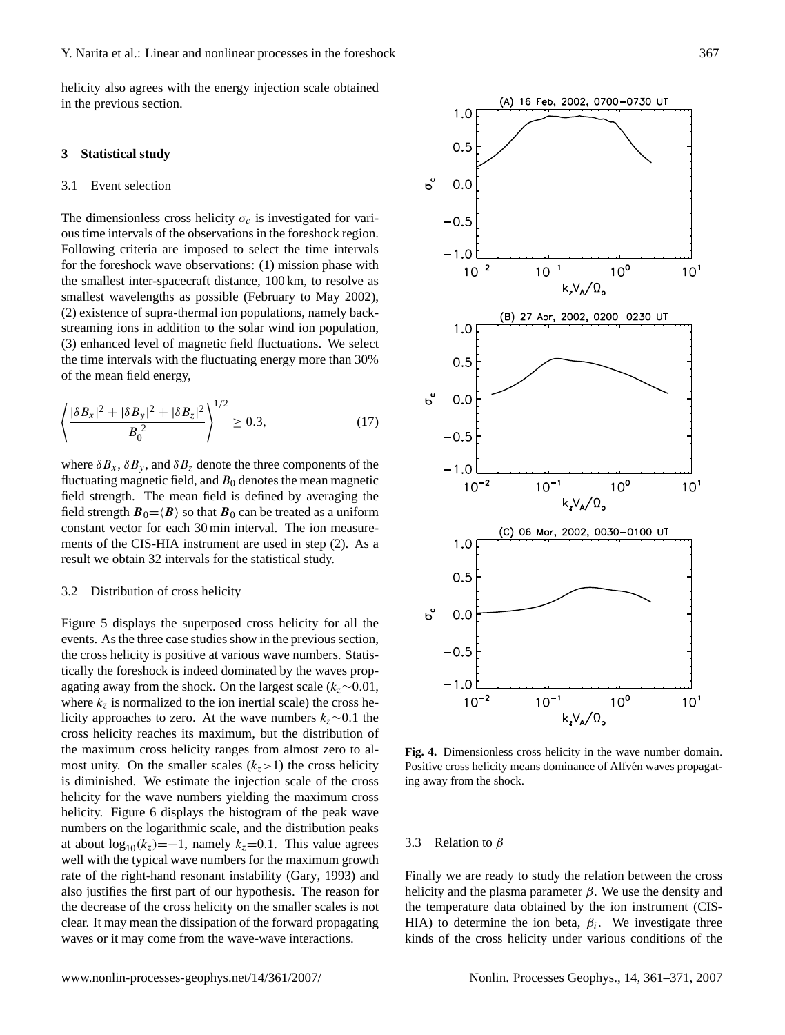helicity also agrees with the energy injection scale obtained in the previous section.

## **3 Statistical study**

## 3.1 Event selection

The dimensionless cross helicity  $\sigma_c$  is investigated for various time intervals of the observations in the foreshock region. Following criteria are imposed to select the time intervals for the foreshock wave observations: (1) mission phase with the smallest inter-spacecraft distance, 100 km, to resolve as smallest wavelengths as possible (February to May 2002), (2) existence of supra-thermal ion populations, namely backstreaming ions in addition to the solar wind ion population, (3) enhanced level of magnetic field fluctuations. We select the time intervals with the fluctuating energy more than 30% of the mean field energy,

$$
\left\langle \frac{|\delta B_x|^2 + |\delta B_y|^2 + |\delta B_z|^2}{B_0^2} \right\rangle^{1/2} \ge 0.3,
$$
\n(17)

where  $\delta B_x$ ,  $\delta B_y$ , and  $\delta B_z$  denote the three components of the fluctuating magnetic field, and  $B_0$  denotes the mean magnetic field strength. The mean field is defined by averaging the field strength  $\mathbf{B}_0 = \langle \mathbf{B} \rangle$  so that  $\mathbf{B}_0$  can be treated as a uniform constant vector for each 30 min interval. The ion measurements of the CIS-HIA instrument are used in step (2). As a result we obtain 32 intervals for the statistical study.

#### 3.2 Distribution of cross helicity

Figure 5 displays the superposed cross helicity for all the events. As the three case studies show in the previous section, the cross helicity is positive at various wave numbers. Statistically the foreshock is indeed dominated by the waves propagating away from the shock. On the largest scale ( $k_z \sim 0.01$ , where  $k_z$  is normalized to the ion inertial scale) the cross helicity approaches to zero. At the wave numbers  $k_z \sim 0.1$  the cross helicity reaches its maximum, but the distribution of the maximum cross helicity ranges from almost zero to almost unity. On the smaller scales  $(k_z>1)$  the cross helicity is diminished. We estimate the injection scale of the cross helicity for the wave numbers yielding the maximum cross helicity. Figure 6 displays the histogram of the peak wave numbers on the logarithmic scale, and the distribution peaks at about  $\log_{10}(k_z)=-1$ , namely  $k_z=0.1$ . This value agrees well with the typical wave numbers for the maximum growth rate of the right-hand resonant instability [\(Gary,](#page-10-3) [1993\)](#page-10-3) and also justifies the first part of our hypothesis. The reason for the decrease of the cross helicity on the smaller scales is not clear. It may mean the dissipation of the forward propagating waves or it may come from the wave-wave interactions.



**Fig. 4.** Dimensionless cross helicity in the wave number domain. Positive cross helicity means dominance of Alfvén waves propagating away from the shock.

#### 3.3 Relation to  $\beta$

Finally we are ready to study the relation between the cross helicity and the plasma parameter  $\beta$ . We use the density and the temperature data obtained by the ion instrument (CIS-HIA) to determine the ion beta,  $\beta_i$ . We investigate three kinds of the cross helicity under various conditions of the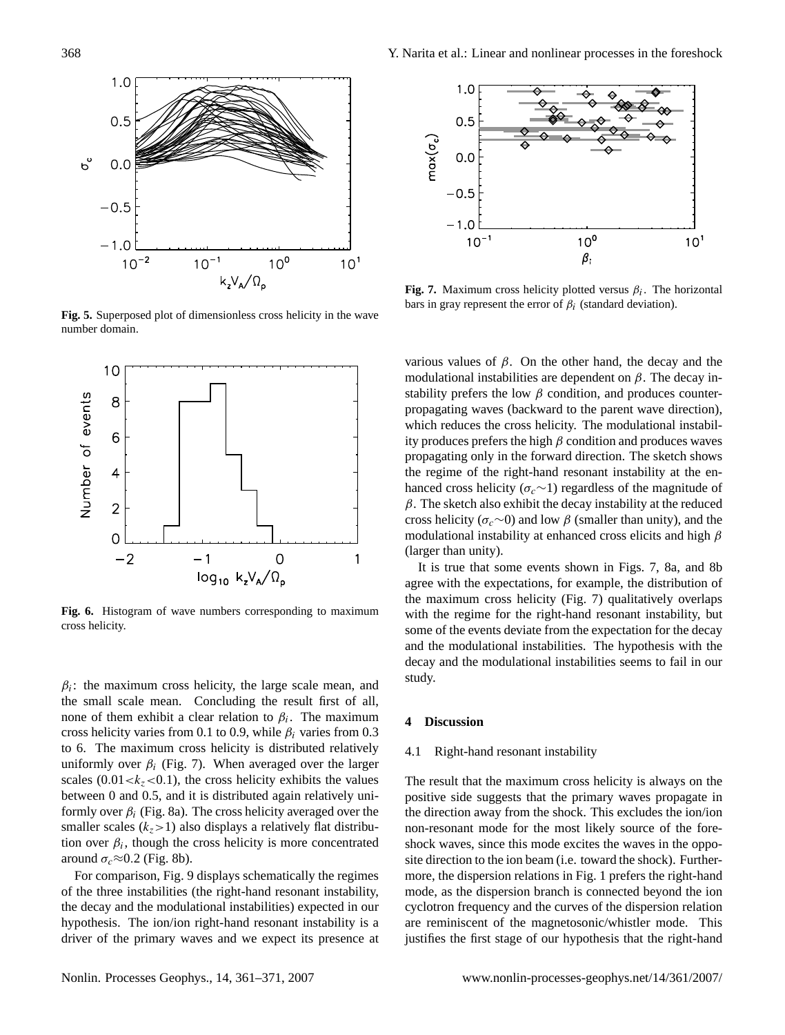

**Fig. 5.** Superposed plot of dimensionless cross helicity in the wave number domain.



**Fig. 6.** Histogram of wave numbers corresponding to maximum cross helicity.

 $\beta_i$ : the maximum cross helicity, the large scale mean, and the small scale mean. Concluding the result first of all, none of them exhibit a clear relation to  $\beta_i$ . The maximum cross helicity varies from 0.1 to 0.9, while  $\beta_i$  varies from 0.3 to 6. The maximum cross helicity is distributed relatively uniformly over  $\beta_i$  (Fig. 7). When averaged over the larger scales (0.01  $\lt k_z \lt 0.1$ ), the cross helicity exhibits the values between 0 and 0.5, and it is distributed again relatively uniformly over  $\beta_i$  (Fig. 8a). The cross helicity averaged over the smaller scales  $(k_z>1)$  also displays a relatively flat distribution over  $\beta_i$ , though the cross helicity is more concentrated around  $\sigma_c \approx 0.2$  (Fig. 8b).

For comparison, Fig. 9 displays schematically the regimes of the three instabilities (the right-hand resonant instability, the decay and the modulational instabilities) expected in our hypothesis. The ion/ion right-hand resonant instability is a driver of the primary waves and we expect its presence at



**Fig. 7.** Maximum cross helicity plotted versus  $\beta_i$ . The horizontal bars in gray represent the error of  $\beta_i$  (standard deviation).

various values of β. On the other hand, the decay and the modulational instabilities are dependent on  $\beta$ . The decay instability prefers the low  $\beta$  condition, and produces counterpropagating waves (backward to the parent wave direction), which reduces the cross helicity. The modulational instability produces prefers the high  $\beta$  condition and produces waves propagating only in the forward direction. The sketch shows the regime of the right-hand resonant instability at the enhanced cross helicity ( $\sigma_c \sim 1$ ) regardless of the magnitude of  $\beta$ . The sketch also exhibit the decay instability at the reduced cross helicity ( $\sigma_c \sim 0$ ) and low  $\beta$  (smaller than unity), and the modulational instability at enhanced cross elicits and high  $\beta$ (larger than unity).

It is true that some events shown in Figs. 7, 8a, and 8b agree with the expectations, for example, the distribution of the maximum cross helicity (Fig. 7) qualitatively overlaps with the regime for the right-hand resonant instability, but some of the events deviate from the expectation for the decay and the modulational instabilities. The hypothesis with the decay and the modulational instabilities seems to fail in our study.

## **4 Discussion**

#### 4.1 Right-hand resonant instability

The result that the maximum cross helicity is always on the positive side suggests that the primary waves propagate in the direction away from the shock. This excludes the ion/ion non-resonant mode for the most likely source of the foreshock waves, since this mode excites the waves in the opposite direction to the ion beam (i.e. toward the shock). Furthermore, the dispersion relations in Fig. 1 prefers the right-hand mode, as the dispersion branch is connected beyond the ion cyclotron frequency and the curves of the dispersion relation are reminiscent of the magnetosonic/whistler mode. This justifies the first stage of our hypothesis that the right-hand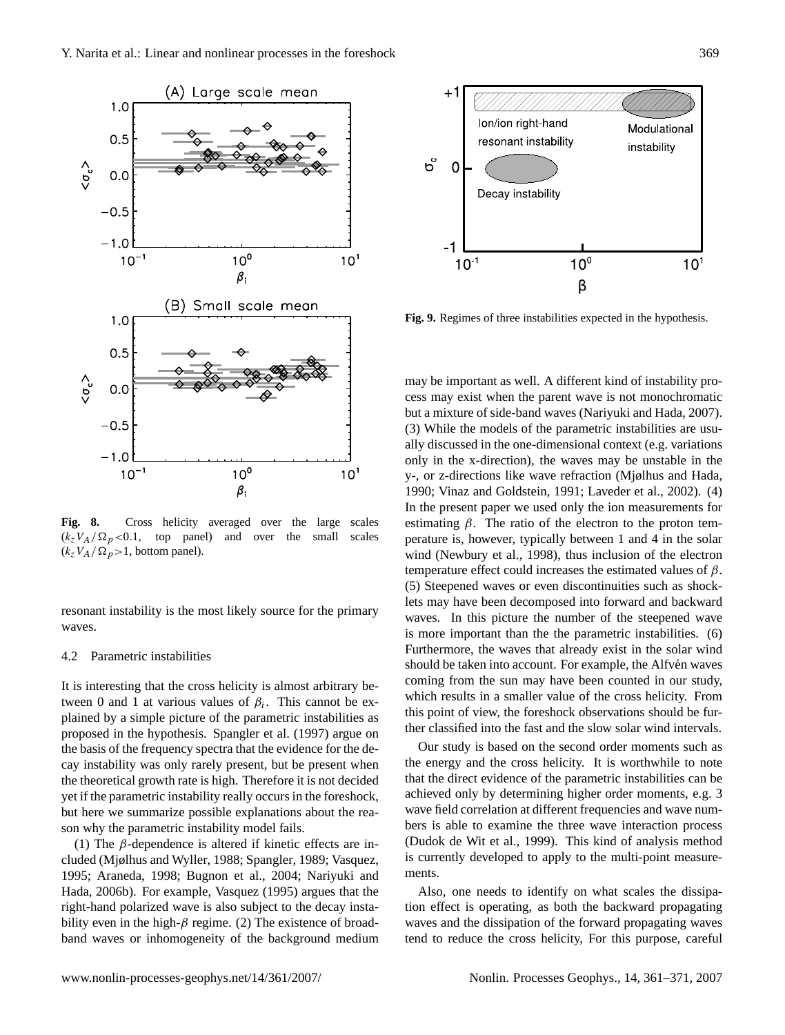

**Fig. 8.** Cross helicity averaged over the large scales  $(k_zV_A/\Omega_p<0.1$ , top panel) and over the small scales  $(k_zV_A/\Omega_p>1$ , bottom panel).

resonant instability is the most likely source for the primary waves.

#### 4.2 Parametric instabilities

It is interesting that the cross helicity is almost arbitrary between 0 and 1 at various values of  $\beta_i$ . This cannot be explained by a simple picture of the parametric instabilities as proposed in the hypothesis. [Spangler et al.](#page-10-18) [\(1997\)](#page-10-18) argue on the basis of the frequency spectra that the evidence for the decay instability was only rarely present, but be present when the theoretical growth rate is high. Therefore it is not decided yet if the parametric instability really occurs in the foreshock, but here we summarize possible explanations about the reason why the parametric instability model fails.

(1) The  $\beta$ -dependence is altered if kinetic effects are included [\(Mjølhus and Wyller,](#page-10-19) [1988;](#page-10-19) [Spangler,](#page-10-20) [1989;](#page-10-20) [Vasquez,](#page-10-21) [1995;](#page-10-21) [Araneda,](#page-9-3) [1998;](#page-9-3) [Bugnon et al.,](#page-9-4) [2004;](#page-9-4) [Nariyuki and](#page-10-22) [Hada,](#page-10-22) [2006b\)](#page-10-22). For example, [Vasquez](#page-10-21) [\(1995\)](#page-10-21) argues that the right-hand polarized wave is also subject to the decay instability even in the high- $\beta$  regime. (2) The existence of broadband waves or inhomogeneity of the background medium



**Fig. 9.** Regimes of three instabilities expected in the hypothesis.

may be important as well. A different kind of instability process may exist when the parent wave is not monochromatic but a mixture of side-band waves [\(Nariyuki and Hada,](#page-10-23) [2007\)](#page-10-23). (3) While the models of the parametric instabilities are usually discussed in the one-dimensional context (e.g. variations only in the x-direction), the waves may be unstable in the y-, or z-directions like wave refraction [\(Mjølhus and Hada,](#page-10-24) [1990;](#page-10-24) [Vinaz and Goldstein,](#page-10-25) [1991;](#page-10-25) [Laveder et al.,](#page-10-26) [2002\)](#page-10-26). (4) In the present paper we used only the ion measurements for estimating  $\beta$ . The ratio of the electron to the proton temperature is, however, typically between 1 and 4 in the solar wind [\(Newbury et al.,](#page-10-27) [1998\)](#page-10-27), thus inclusion of the electron temperature effect could increases the estimated values of  $\beta$ . (5) Steepened waves or even discontinuities such as shocklets may have been decomposed into forward and backward waves. In this picture the number of the steepened wave is more important than the the parametric instabilities. (6) Furthermore, the waves that already exist in the solar wind should be taken into account. For example, the Alfven waves coming from the sun may have been counted in our study, which results in a smaller value of the cross helicity. From this point of view, the foreshock observations should be further classified into the fast and the slow solar wind intervals.

Our study is based on the second order moments such as the energy and the cross helicity. It is worthwhile to note that the direct evidence of the parametric instabilities can be achieved only by determining higher order moments, e.g. 3 wave field correlation at different frequencies and wave numbers is able to examine the three wave interaction process [\(Dudok de Wit et al.,](#page-9-5) [1999\)](#page-9-5). This kind of analysis method is currently developed to apply to the multi-point measurements.

Also, one needs to identify on what scales the dissipation effect is operating, as both the backward propagating waves and the dissipation of the forward propagating waves tend to reduce the cross helicity, For this purpose, careful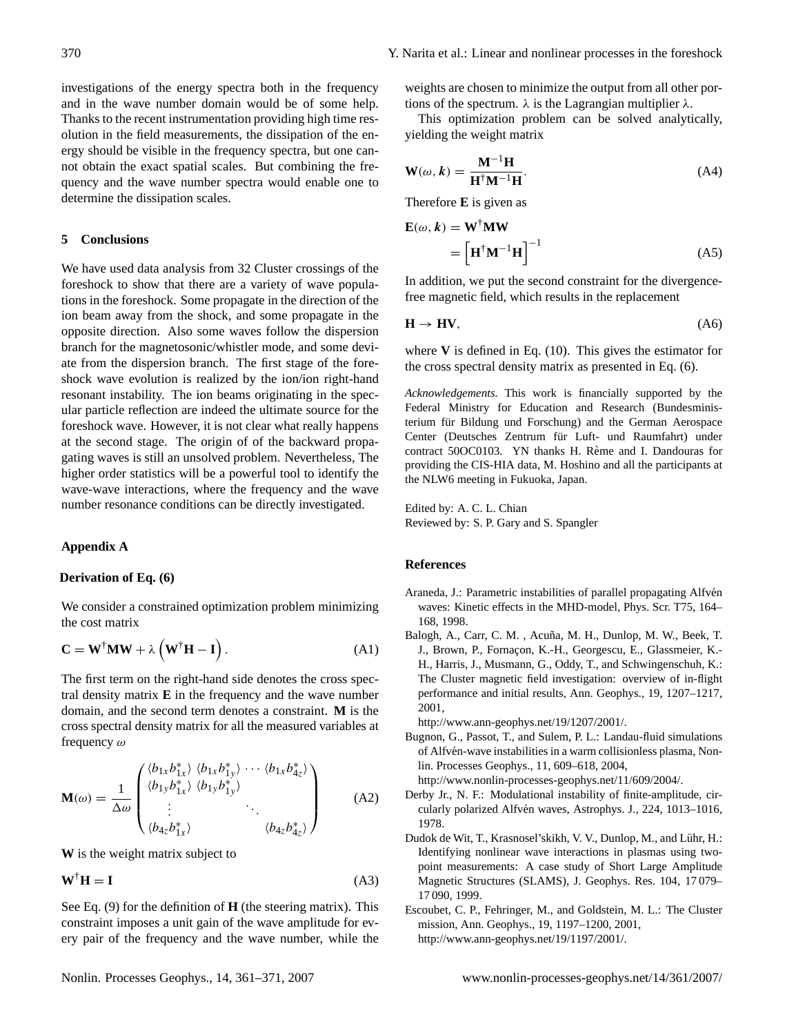investigations of the energy spectra both in the frequency and in the wave number domain would be of some help. Thanks to the recent instrumentation providing high time resolution in the field measurements, the dissipation of the energy should be visible in the frequency spectra, but one cannot obtain the exact spatial scales. But combining the frequency and the wave number spectra would enable one to determine the dissipation scales.

## **5 Conclusions**

We have used data analysis from 32 Cluster crossings of the foreshock to show that there are a variety of wave populations in the foreshock. Some propagate in the direction of the ion beam away from the shock, and some propagate in the opposite direction. Also some waves follow the dispersion branch for the magnetosonic/whistler mode, and some deviate from the dispersion branch. The first stage of the foreshock wave evolution is realized by the ion/ion right-hand resonant instability. The ion beams originating in the specular particle reflection are indeed the ultimate source for the foreshock wave. However, it is not clear what really happens at the second stage. The origin of of the backward propagating waves is still an unsolved problem. Nevertheless, The higher order statistics will be a powerful tool to identify the wave-wave interactions, where the frequency and the wave number resonance conditions can be directly investigated.

# **Appendix A**

#### **Derivation of Eq. (6)**

We consider a constrained optimization problem minimizing the cost matrix

$$
\mathbf{C} = \mathbf{W}^{\dagger} \mathbf{M} \mathbf{W} + \lambda \left( \mathbf{W}^{\dagger} \mathbf{H} - \mathbf{I} \right). \tag{A1}
$$

The first term on the right-hand side denotes the cross spectral density matrix **E** in the frequency and the wave number domain, and the second term denotes a constraint. **M** is the cross spectral density matrix for all the measured variables at frequency  $\omega$ 

$$
\mathbf{M}(\omega) = \frac{1}{\Delta \omega} \begin{pmatrix} \langle b_{1x} b_{1x}^* \rangle & \langle b_{1x} b_{1y}^* \rangle & \cdots & \langle b_{1x} b_{4z}^* \rangle \\ \langle b_{1y} b_{1x}^* \rangle & \langle b_{1y} b_{1y}^* \rangle \\ \vdots & \vdots & \ddots \\ \langle b_{4z} b_{1x}^* \rangle & \langle b_{4z} b_{4z}^* \rangle \end{pmatrix}
$$
(A2)

**W** is the weight matrix subject to

$$
\mathbf{W}^{\dagger}\mathbf{H} = \mathbf{I} \tag{A3}
$$

See Eq. [\(9\)](#page-2-1) for the definition of **H** (the steering matrix). This constraint imposes a unit gain of the wave amplitude for every pair of the frequency and the wave number, while the

weights are chosen to minimize the output from all other portions of the spectrum.  $\lambda$  is the Lagrangian multiplier  $\lambda$ .

This optimization problem can be solved analytically, yielding the weight matrix

$$
\mathbf{W}(\omega, k) = \frac{\mathbf{M}^{-1} \mathbf{H}}{\mathbf{H}^{\dagger} \mathbf{M}^{-1} \mathbf{H}}.
$$
 (A4)

Therefore **E** is given as

$$
\mathbf{E}(\omega, \mathbf{k}) = \mathbf{W}^{\dagger} \mathbf{M} \mathbf{W}
$$

$$
= \left[ \mathbf{H}^{\dagger} \mathbf{M}^{-1} \mathbf{H} \right]^{-1} \tag{A5}
$$

In addition, we put the second constraint for the divergencefree magnetic field, which results in the replacement

$$
\mathbf{H} \to \mathbf{HV},\tag{A6}
$$

where **V** is defined in Eq. [\(10\)](#page-2-2). This gives the estimator for the cross spectral density matrix as presented in Eq. (6).

*Acknowledgements.* This work is financially supported by the Federal Ministry for Education and Research (Bundesministerium für Bildung und Forschung) and the German Aerospace Center (Deutsches Zentrum für Luft- und Raumfahrt) under contract 50OC0103. YN thanks H. Rème and I. Dandouras for providing the CIS-HIA data, M. Hoshino and all the participants at the NLW6 meeting in Fukuoka, Japan.

Edited by: A. C. L. Chian Reviewed by: S. P. Gary and S. Spangler

## **References**

- <span id="page-9-3"></span>Araneda, J.: Parametric instabilities of parallel propagating Alfvén waves: Kinetic effects in the MHD-model, Phys. Scr. T75, 164– 168, 1998.
- <span id="page-9-2"></span>Balogh, A., Carr, C. M., Acuña, M. H., Dunlop, M. W., Beek, T. J., Brown, P., Fornaçon, K.-H., Georgescu, E., Glassmeier, K.-H., Harris, J., Musmann, G., Oddy, T., and Schwingenschuh, K.: The Cluster magnetic field investigation: overview of in-flight performance and initial results, Ann. Geophys., 19, 1207–1217, 2001,

[http://www.ann-geophys.net/19/1207/2001/.](http://www.ann-geophys.net/19/1207/2001/)

- <span id="page-9-4"></span>Bugnon, G., Passot, T., and Sulem, P. L.: Landau-fluid simulations of Alfvén-wave instabilities in a warm collisionless plasma, Nonlin. Processes Geophys., 11, 609–618, 2004, [http://www.nonlin-processes-geophys.net/11/609/2004/.](http://www.nonlin-processes-geophys.net/11/609/2004/)
- <span id="page-9-0"></span>Derby Jr., N. F.: Modulational instability of finite-amplitude, circularly polarized Alfvén waves, Astrophys. J., 224, 1013-1016, 1978.
- <span id="page-9-5"></span>Dudok de Wit, T., Krasnosel'skikh, V. V., Dunlop, M., and Lühr, H.: Identifying nonlinear wave interactions in plasmas using twopoint measurements: A case study of Short Large Amplitude Magnetic Structures (SLAMS), J. Geophys. Res. 104, 17 079– 17 090, 1999.
- <span id="page-9-1"></span>Escoubet, C. P., Fehringer, M., and Goldstein, M. L.: The Cluster mission, Ann. Geophys., 19, 1197–1200, 2001, [http://www.ann-geophys.net/19/1197/2001/.](http://www.ann-geophys.net/19/1197/2001/)